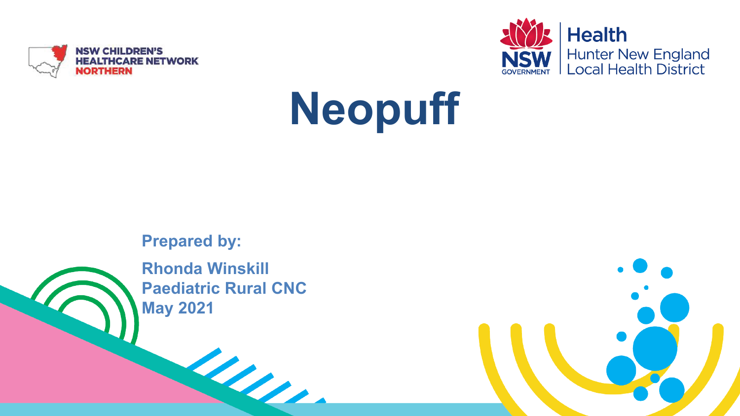



# **Neopuff**

**Prepared by:**

**Rhonda Winskill Paediatric Rural CNC May 2021**

Les.

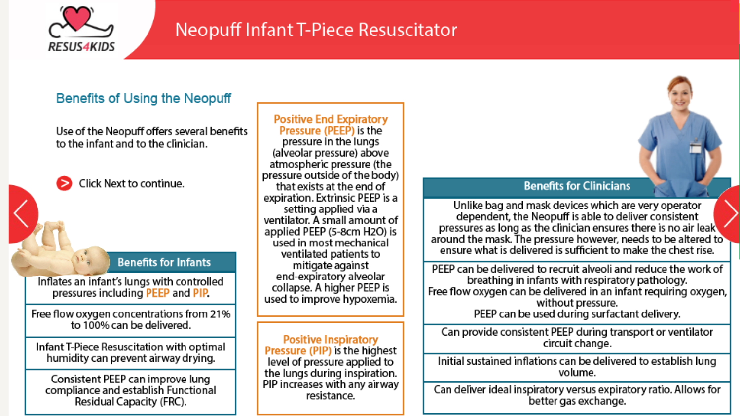

#### Neopuff Infant T-Piece Resuscitator

#### **Benefits of Using the Neopuff**

Use of the Neopuff offers several benefits to the infant and to the clinician.

Click Next to continue.

#### **Benefits for Infants**

Inflates an infant's lungs with controlled pressures including PEEP and PIP.

Free flow oxygen concentrations from 21% to 100% can be delivered.

Infant T-Piece Resuscitation with optimal humidity can prevent airway drying.

Consistent PEEP can improve lung compliance and establish Functional Residual Capacity (FRC).

**Positive End Expiratory** Pressure (PEEP) is the pressure in the lungs (alveolar pressure) above atmospheric pressure (the pressure outside of the body) that exists at the end of expiration. Extrinsic PEEP is a setting applied via a ventilator. A small amount of applied PEEP (5-8cm H2O) is used in most mechanical ventilated patients to mitigate against end-expiratory alveolar collapse. A higher PEEP is used to improve hypoxemia.

**Positive Inspiratory** Pressure (PIP) is the highest level of pressure applied to the lungs during inspiration. PIP increases with any airway resistance.

#### **Benefits for Clinicians**

Unlike bag and mask devices which are very operator dependent, the Neopuff is able to deliver consistent pressures as long as the clinician ensures there is no air leak around the mask. The pressure however, needs to be altered to ensure what is delivered is sufficient to make the chest rise.

PEEP can be delivered to recruit alveoli and reduce the work of breathing in infants with respiratory pathology. Free flow oxygen can be delivered in an infant requiring oxygen, without pressure. PEEP can be used during surfactant delivery.

Can provide consistent PEEP during transport or ventilator circuit change.

Initial sustained inflations can be delivered to establish lung volume.

Can deliver ideal inspiratory versus expiratory ratio. Allows for better gas exchange.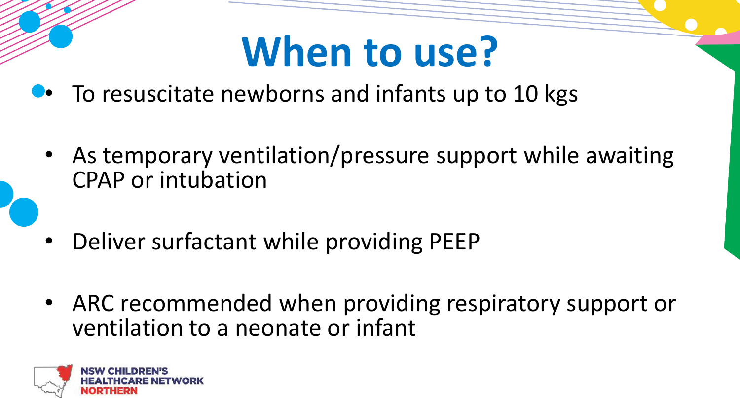#### **When to use?**

- To resuscitate newborns and infants up to 10 kgs
	- As temporary ventilation/pressure support while awaiting CPAP or intubation
	- Deliver surfactant while providing PEEP
	- ARC recommended when providing respiratory support or ventilation to a neonate or infant

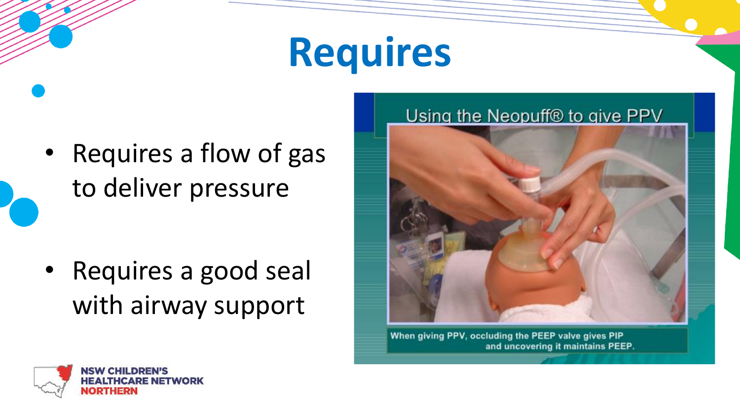#### **Requires**

• Requires a flow of gas to deliver pressure

• Requires a good seal with airway support



When giving PPV, occluding the PEEP valve gives PIP and uncovering it maintains PEEP.

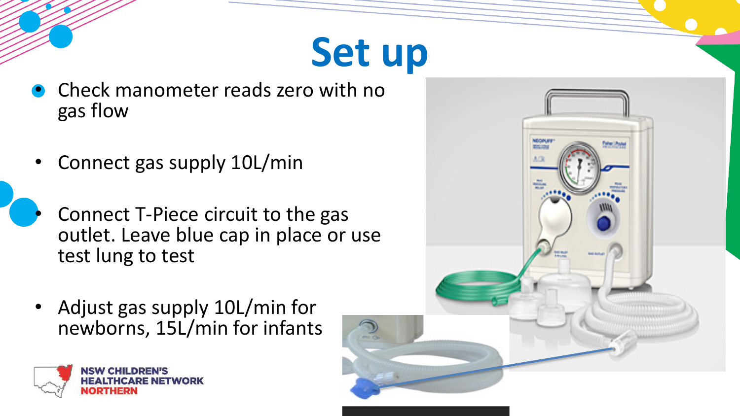#### **Set up**

- Check manometer reads zero with no gas flow
- Connect gas supply 10L/min
- Connect T-Piece circuit to the gas outlet. Leave blue cap in place or use test lung to test
	- Adjust gas supply 10L/min for newborns, 15L/min for infants



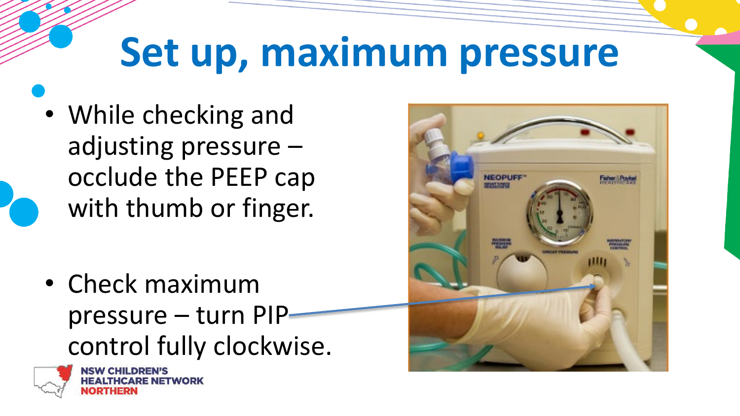### **Set up, maximum pressure**

• While checking and adjusting pressure – occlude the PEEP cap with thumb or finger.

• Check maximum pressure – turn PIP control fully clockwise.



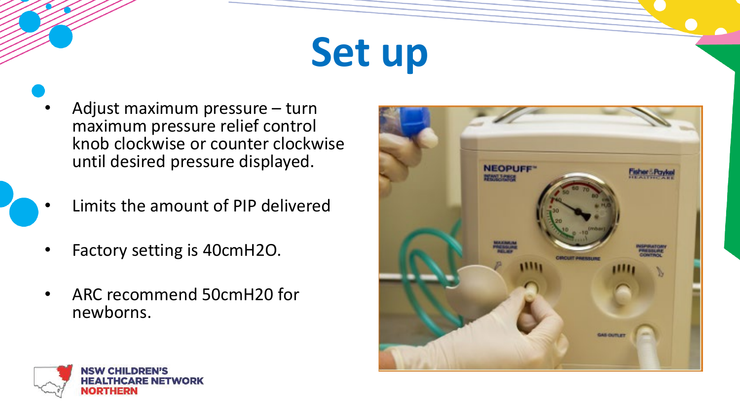### **Set up**

- Adjust maximum pressure turn maximum pressure relief control knob clockwise or counter clockwise until desired pressure displayed.
- Limits the amount of PIP delivered
- Factory setting is 40cmH2O.
- ARC recommend 50cmH20 for newborns.



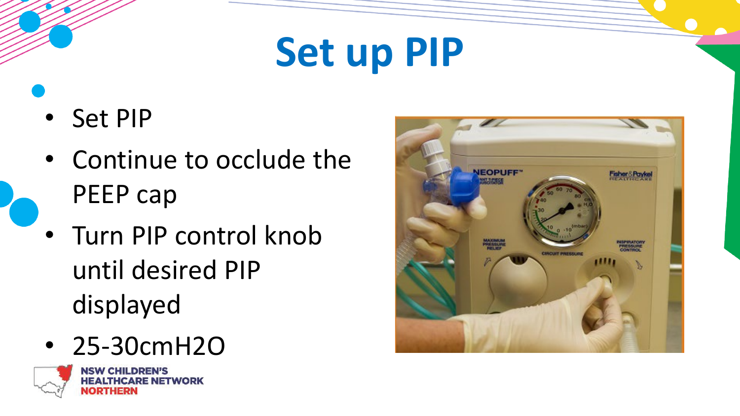#### **Set up PIP**

- Set PIP
- Continue to occlude the PEEP cap
- Turn PIP control knob until desired PIP displayed
- 25-30cmH2O





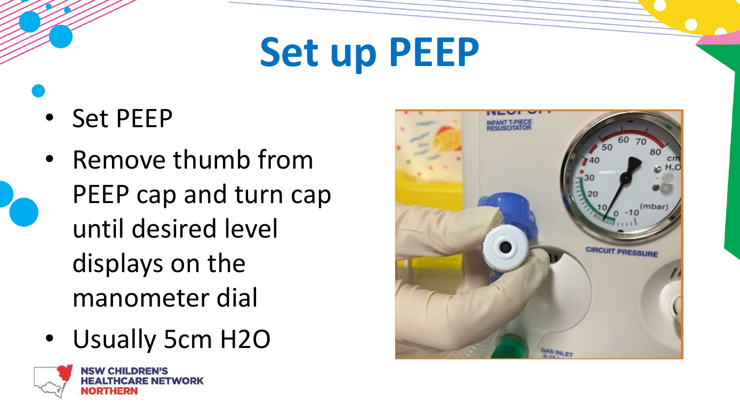#### **Set up PEEP**

- Set PEEP
- Remove thumb from PEEP cap and turn cap until desired level displays on the manometer dial
- Usually 5cm H2O



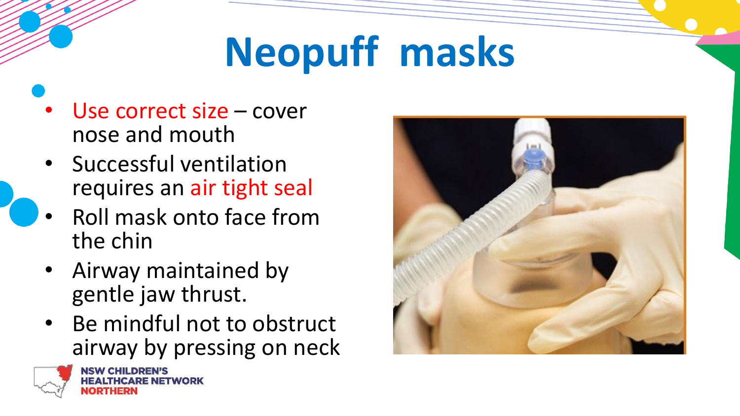# **Neopuff masks**

- Use correct size cover nose and mouth
- Successful ventilation requires an air tight seal
- Roll mask onto face from the chin
- Airway maintained by gentle jaw thrust.
- Be mindful not to obstruct airway by pressing on neck



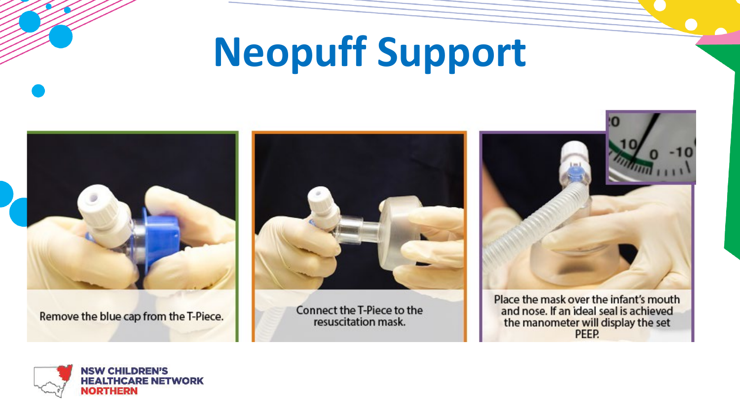#### **Neopuff Support**



Remove the blue cap from the T-Piece.



Connect the T-Piece to the resuscitation mask.



Place the mask over the infant's mouth and nose. If an ideal seal is achieved the manometer will display the set PEEP.

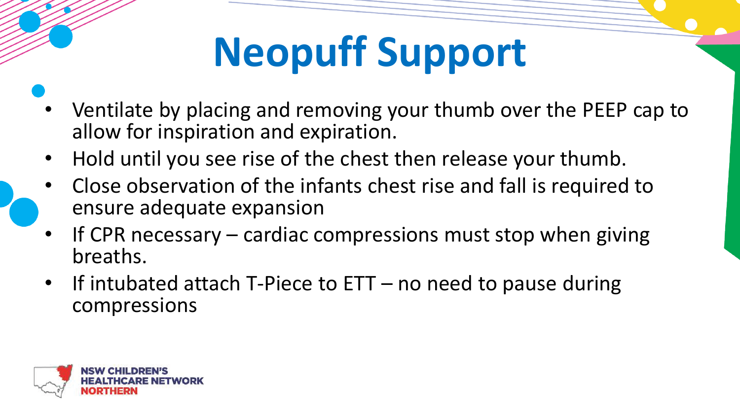## **Neopuff Support**

- Ventilate by placing and removing your thumb over the PEEP cap to allow for inspiration and expiration.
- Hold until you see rise of the chest then release your thumb.
- Close observation of the infants chest rise and fall is required to ensure adequate expansion
- If CPR necessary  $-$  cardiac compressions must stop when giving breaths.
- If intubated attach T-Piece to ETT no need to pause during compressions